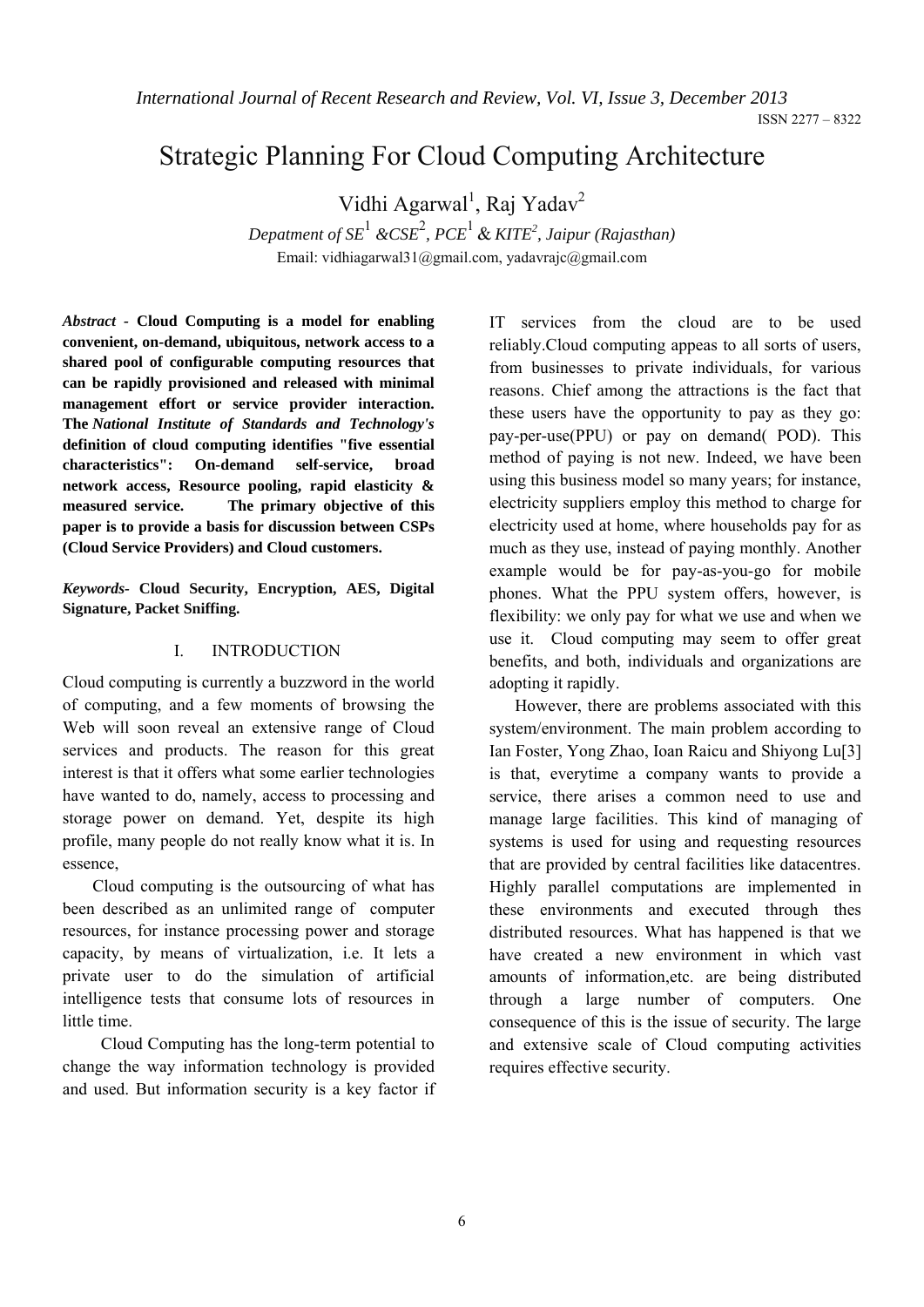*International Journal of Recent Research and Review, Vol. VI, Issue 3, December 2013* 

# Strategic Planning For Cloud Computing Architecture

Vidhi Agarwal<sup>1</sup>, Raj Yadav<sup>2</sup>

*Depatment of SE*<sup>1</sup>  *&CSE*<sup>2</sup> *, PCE*1 & *KITE<sup>2</sup> , Jaipur (Rajasthan)* Email: vidhiagarwal31@gmail.com, yadavrajc@gmail.com

*Abstract -* **Cloud Computing is a model for enabling convenient, on-demand, ubiquitous, network access to a shared pool of configurable computing resources that can be rapidly provisioned and released with minimal management effort or service provider interaction. The** *National Institute of Standards and Technology's*  **definition of cloud computing identifies "five essential characteristics": On-demand self-service, broad network access, Resource pooling, rapid elasticity & measured service. The primary objective of this paper is to provide a basis for discussion between CSPs (Cloud Service Providers) and Cloud customers.** 

*Keywords-* **Cloud Security, Encryption, AES, Digital Signature, Packet Sniffing.**

#### I. INTRODUCTION

Cloud computing is currently a buzzword in the world of computing, and a few moments of browsing the Web will soon reveal an extensive range of Cloud services and products. The reason for this great interest is that it offers what some earlier technologies have wanted to do, namely, access to processing and storage power on demand. Yet, despite its high profile, many people do not really know what it is. In essence,

 Cloud computing is the outsourcing of what has been described as an unlimited range of computer resources, for instance processing power and storage capacity, by means of virtualization, i.e. It lets a private user to do the simulation of artificial intelligence tests that consume lots of resources in little time.

 Cloud Computing has the long-term potential to change the way information technology is provided and used. But information security is a key factor if IT services from the cloud are to be used reliably.Cloud computing appeas to all sorts of users, from businesses to private individuals, for various reasons. Chief among the attractions is the fact that these users have the opportunity to pay as they go: pay-per-use(PPU) or pay on demand( POD). This method of paying is not new. Indeed, we have been using this business model so many years; for instance, electricity suppliers employ this method to charge for electricity used at home, where households pay for as much as they use, instead of paying monthly. Another example would be for pay-as-you-go for mobile phones. What the PPU system offers, however, is flexibility: we only pay for what we use and when we use it. Cloud computing may seem to offer great benefits, and both, individuals and organizations are adopting it rapidly.

 However, there are problems associated with this system/environment. The main problem according to Ian Foster, Yong Zhao, Ioan Raicu and Shiyong Lu[3] is that, everytime a company wants to provide a service, there arises a common need to use and manage large facilities. This kind of managing of systems is used for using and requesting resources that are provided by central facilities like datacentres. Highly parallel computations are implemented in these environments and executed through thes distributed resources. What has happened is that we have created a new environment in which vast amounts of information,etc. are being distributed through a large number of computers. One consequence of this is the issue of security. The large and extensive scale of Cloud computing activities requires effective security.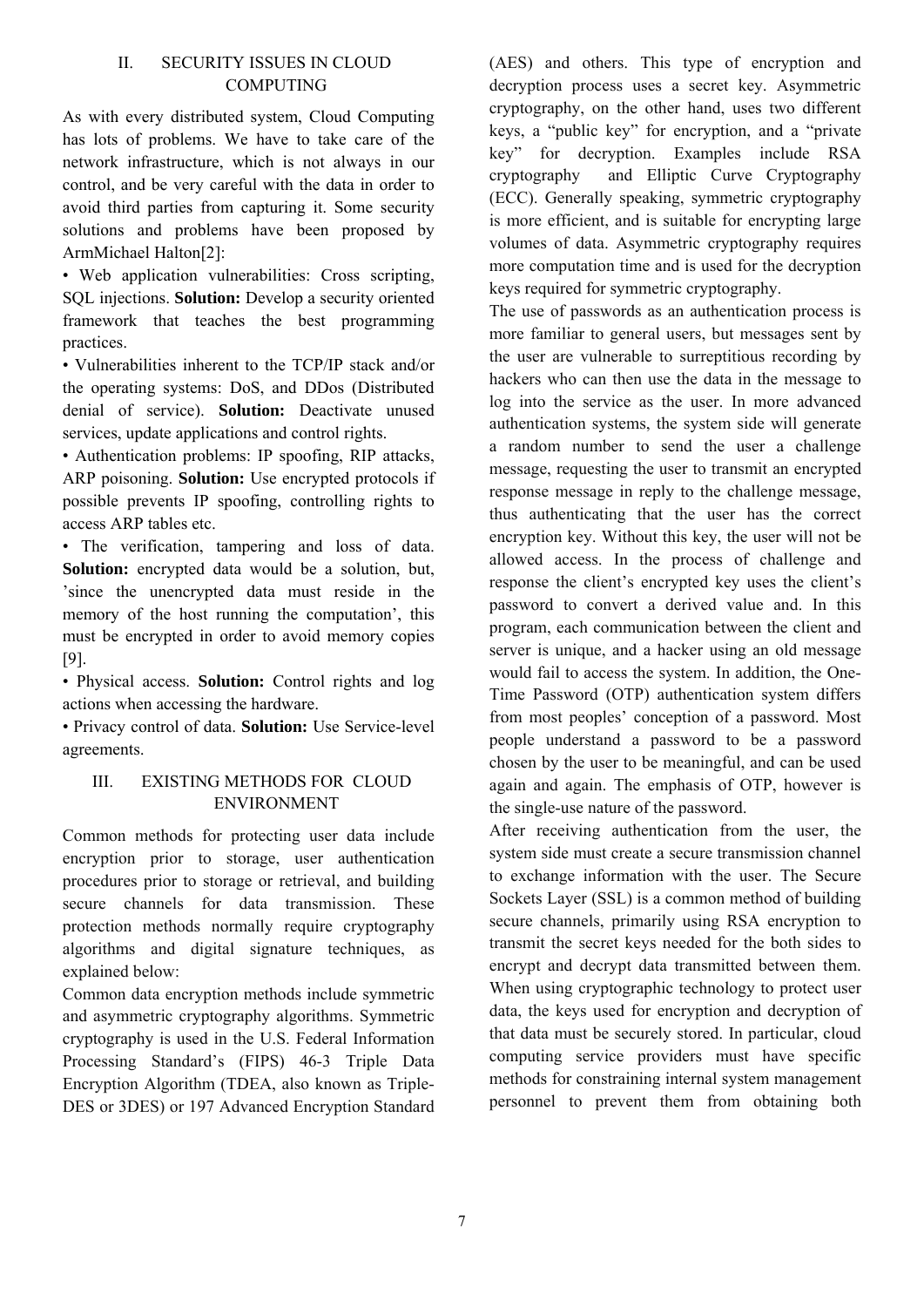# II. SECURITY ISSUES IN CLOUD **COMPUTING**

As with every distributed system, Cloud Computing has lots of problems. We have to take care of the network infrastructure, which is not always in our control, and be very careful with the data in order to avoid third parties from capturing it. Some security solutions and problems have been proposed by ArmMichael Halton[2]:

• Web application vulnerabilities: Cross scripting, SQL injections. **Solution:** Develop a security oriented framework that teaches the best programming practices.

• Vulnerabilities inherent to the TCP/IP stack and/or the operating systems: DoS, and DDos (Distributed denial of service). **Solution:** Deactivate unused services, update applications and control rights.

• Authentication problems: IP spoofing, RIP attacks, ARP poisoning. **Solution:** Use encrypted protocols if possible prevents IP spoofing, controlling rights to access ARP tables etc.

• The verification, tampering and loss of data. **Solution:** encrypted data would be a solution, but, 'since the unencrypted data must reside in the memory of the host running the computation', this must be encrypted in order to avoid memory copies [9].

• Physical access. **Solution:** Control rights and log actions when accessing the hardware.

• Privacy control of data. **Solution:** Use Service-level agreements.

# III. EXISTING METHODS FOR CLOUD ENVIRONMENT

Common methods for protecting user data include encryption prior to storage, user authentication procedures prior to storage or retrieval, and building secure channels for data transmission. These protection methods normally require cryptography algorithms and digital signature techniques, as explained below:

Common data encryption methods include symmetric and asymmetric cryptography algorithms. Symmetric cryptography is used in the U.S. Federal Information Processing Standard's (FIPS) 46-3 Triple Data Encryption Algorithm (TDEA, also known as Triple-DES or 3DES) or 197 Advanced Encryption Standard (AES) and others. This type of encryption and decryption process uses a secret key. Asymmetric cryptography, on the other hand, uses two different keys, a "public key" for encryption, and a "private key" for decryption. Examples include RSA cryptography and Elliptic Curve Cryptography (ECC). Generally speaking, symmetric cryptography is more efficient, and is suitable for encrypting large volumes of data. Asymmetric cryptography requires more computation time and is used for the decryption keys required for symmetric cryptography.

The use of passwords as an authentication process is more familiar to general users, but messages sent by the user are vulnerable to surreptitious recording by hackers who can then use the data in the message to log into the service as the user. In more advanced authentication systems, the system side will generate a random number to send the user a challenge message, requesting the user to transmit an encrypted response message in reply to the challenge message, thus authenticating that the user has the correct encryption key. Without this key, the user will not be allowed access. In the process of challenge and response the client's encrypted key uses the client's password to convert a derived value and. In this program, each communication between the client and server is unique, and a hacker using an old message would fail to access the system. In addition, the One-Time Password (OTP) authentication system differs from most peoples' conception of a password. Most people understand a password to be a password chosen by the user to be meaningful, and can be used again and again. The emphasis of OTP, however is the single-use nature of the password.

After receiving authentication from the user, the system side must create a secure transmission channel to exchange information with the user. The Secure Sockets Layer (SSL) is a common method of building secure channels, primarily using RSA encryption to transmit the secret keys needed for the both sides to encrypt and decrypt data transmitted between them. When using cryptographic technology to protect user data, the keys used for encryption and decryption of that data must be securely stored. In particular, cloud computing service providers must have specific methods for constraining internal system management personnel to prevent them from obtaining both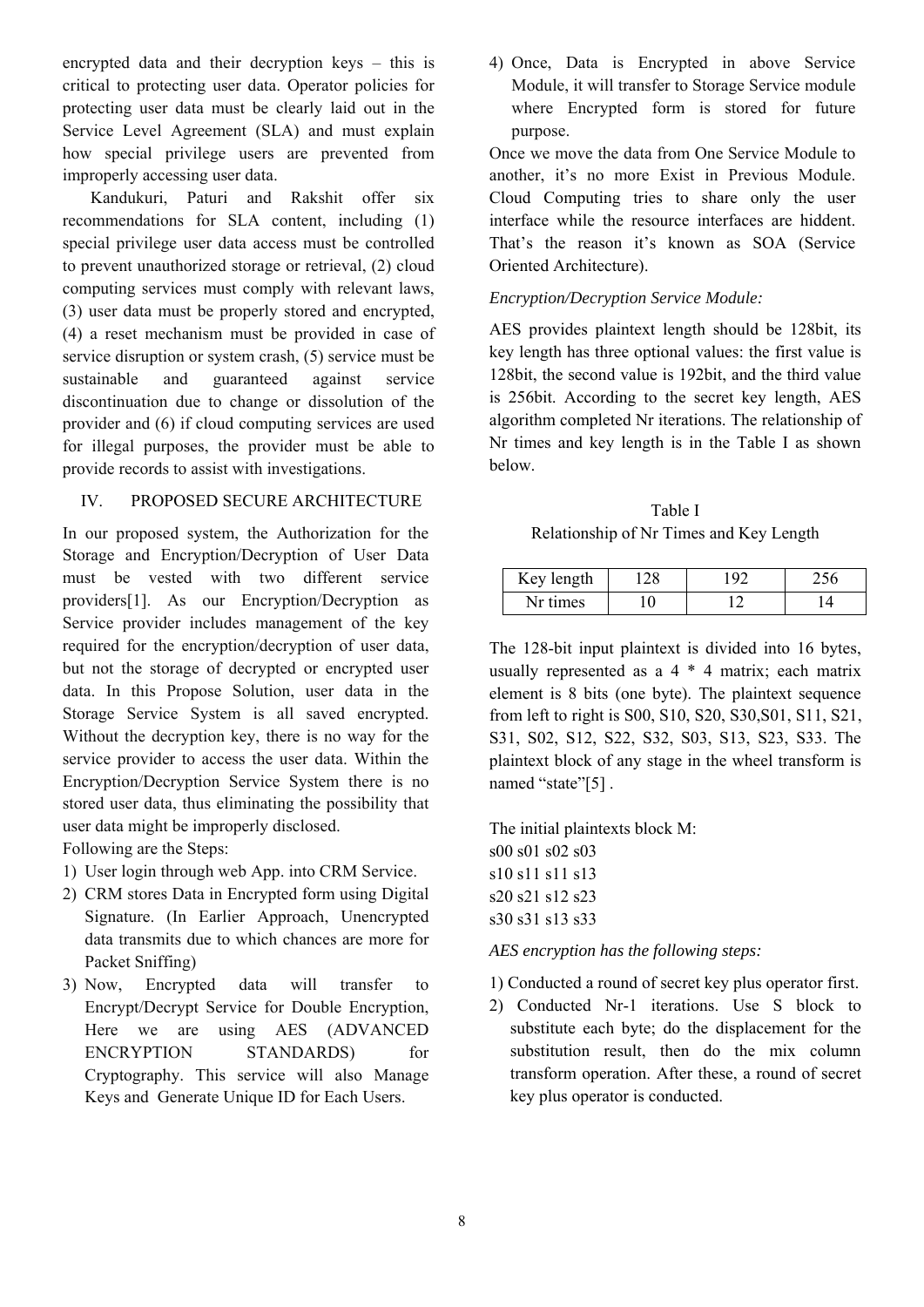encrypted data and their decryption keys – this is critical to protecting user data. Operator policies for protecting user data must be clearly laid out in the Service Level Agreement (SLA) and must explain how special privilege users are prevented from improperly accessing user data.

Kandukuri, Paturi and Rakshit offer six recommendations for SLA content, including (1) special privilege user data access must be controlled to prevent unauthorized storage or retrieval, (2) cloud computing services must comply with relevant laws, (3) user data must be properly stored and encrypted, (4) a reset mechanism must be provided in case of service disruption or system crash, (5) service must be sustainable and guaranteed against service discontinuation due to change or dissolution of the provider and (6) if cloud computing services are used for illegal purposes, the provider must be able to provide records to assist with investigations.

## IV. PROPOSED SECURE ARCHITECTURE

In our proposed system, the Authorization for the Storage and Encryption/Decryption of User Data must be vested with two different service providers[1]. As our Encryption/Decryption as Service provider includes management of the key required for the encryption/decryption of user data, but not the storage of decrypted or encrypted user data. In this Propose Solution, user data in the Storage Service System is all saved encrypted. Without the decryption key, there is no way for the service provider to access the user data. Within the Encryption/Decryption Service System there is no stored user data, thus eliminating the possibility that user data might be improperly disclosed.

Following are the Steps:

- 1) User login through web App. into CRM Service.
- 2) CRM stores Data in Encrypted form using Digital Signature. (In Earlier Approach, Unencrypted data transmits due to which chances are more for Packet Sniffing)
- 3) Now, Encrypted data will transfer to Encrypt/Decrypt Service for Double Encryption, Here we are using AES (ADVANCED ENCRYPTION STANDARDS) for Cryptography. This service will also Manage Keys and Generate Unique ID for Each Users.

4) Once, Data is Encrypted in above Service Module, it will transfer to Storage Service module where Encrypted form is stored for future purpose.

Once we move the data from One Service Module to another, it's no more Exist in Previous Module. Cloud Computing tries to share only the user interface while the resource interfaces are hiddent. That's the reason it's known as SOA (Service Oriented Architecture).

# *Encryption/Decryption Service Module:*

AES provides plaintext length should be 128bit, its key length has three optional values: the first value is 128bit, the second value is 192bit, and the third value is 256bit. According to the secret key length, AES algorithm completed Nr iterations. The relationship of Nr times and key length is in the Table I as shown below.

Table I Relationship of Nr Times and Key Length

| Key length | $\alpha$ |  |
|------------|----------|--|
| Nr times   |          |  |

The 128-bit input plaintext is divided into 16 bytes, usually represented as a  $4 * 4$  matrix; each matrix element is 8 bits (one byte). The plaintext sequence from left to right is S00, S10, S20, S30,S01, S11, S21, S31, S02, S12, S22, S32, S03, S13, S23, S33. The plaintext block of any stage in the wheel transform is named "state"[5].

The initial plaintexts block M: s00 s01 s02 s03 s10 s11 s11 s13 s20 s21 s12 s23 s30 s31 s13 s33

*AES encryption has the following steps:* 

- 1) Conducted a round of secret key plus operator first.
- 2) Conducted Nr-1 iterations. Use S block to substitute each byte; do the displacement for the substitution result, then do the mix column transform operation. After these, a round of secret key plus operator is conducted.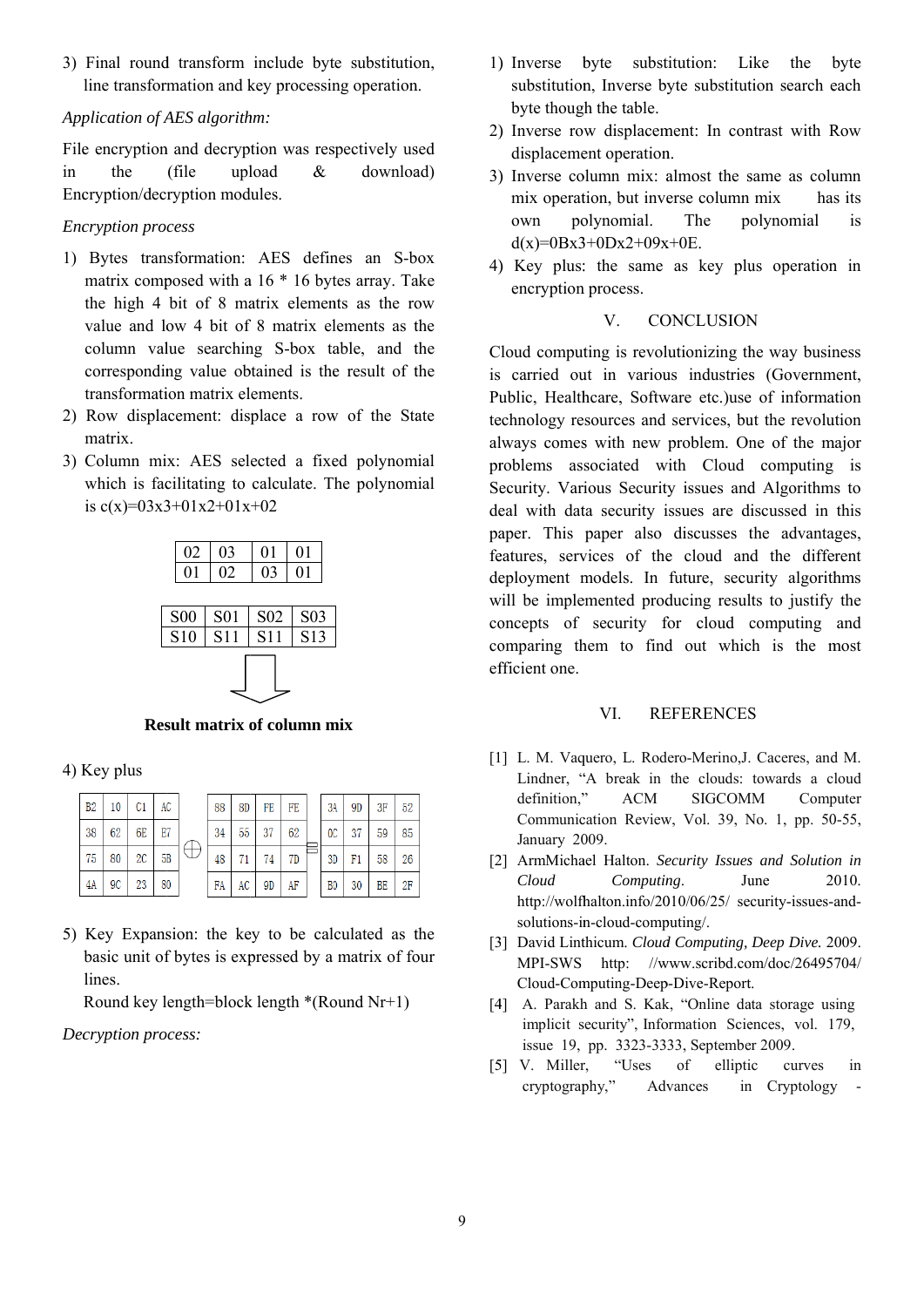3) Final round transform include byte substitution, line transformation and key processing operation.

### Application of AES algorithm:

File encryption and decryption was respectively used the (file upload  $\mathcal{R}_{\mathcal{L}}$ download)  $in$ Encryption/decryption modules.

**Encryption process** 

- 1) Bytes transformation: AES defines an S-box matrix composed with a  $16 * 16$  bytes array. Take the high 4 bit of 8 matrix elements as the row value and low 4 bit of 8 matrix elements as the column value searching S-box table, and the corresponding value obtained is the result of the transformation matrix elements.
- 2) Row displacement: displace a row of the State matrix.
- 3) Column mix: AES selected a fixed polynomial which is facilitating to calculate. The polynomial is  $c(x)=03x3+01x2+01x+02$



#### **Result matrix of column mix**

### 4) Key plus

| B2 | 10 | C1   | AC |  | 88 | 8D | FE | FE |  | 3A             | 9D | 3F | 52 |
|----|----|------|----|--|----|----|----|----|--|----------------|----|----|----|
| 38 | 62 | 6E   | E7 |  | 34 | 55 | 37 | 62 |  | 0 <sup>C</sup> | 37 | 59 | 85 |
| 75 | 80 | $2C$ | 5B |  | 48 |    | 74 | 7D |  | 3D             | F1 | 58 | 26 |
| 4A | 9C | 23   | 80 |  | FA | AC | 9D | AF |  | B <sub>0</sub> | 30 | BE | 2F |

5) Key Expansion: the key to be calculated as the basic unit of bytes is expressed by a matrix of four lines

Round key length=block length  $*(Round Nr+1)$ 

Decryption process:

- 1) Inverse byte substitution: Like the byte substitution, Inverse byte substitution search each byte though the table.
- 2) Inverse row displacement: In contrast with Row displacement operation.
- 3) Inverse column mix: almost the same as column mix operation, but inverse column mix has its own polynomial. The polynomial is  $d(x)=0Bx3+0Dx2+09x+0E$ .
- 4) Key plus: the same as key plus operation in encryption process.

#### $V_{\cdot}$ **CONCLUSION**

Cloud computing is revolutionizing the way business is carried out in various industries (Government, Public, Healthcare, Software etc.) use of information technology resources and services, but the revolution always comes with new problem. One of the major problems associated with Cloud computing is Security. Various Security issues and Algorithms to deal with data security issues are discussed in this paper. This paper also discusses the advantages, features, services of the cloud and the different deployment models. In future, security algorithms will be implemented producing results to justify the concepts of security for cloud computing and comparing them to find out which is the most efficient one.

#### VI. **REFERENCES**

- [1] L. M. Vaquero, L. Rodero-Merino, J. Caceres, and M. Lindner, "A break in the clouds: towards a cloud definition." **ACM SIGCOMM** Computer Communication Review, Vol. 39, No. 1, pp. 50-55, January 2009.
- [2] ArmMichael Halton. Security Issues and Solution in  $Cloud$ Computing. June 2010 http://wolfhalton.info/2010/06/25/ security-issues-andsolutions-in-cloud-computing/.
- [3] David Linthicum. Cloud Computing, Deep Dive. 2009. http://www.scribd.com/doc/26495704/ **MPI-SWS** Cloud-Computing-Deep-Dive-Report.
- [4] A. Parakh and S. Kak, "Online data storage using implicit security", Information Sciences, vol. 179, issue 19, pp. 3323-3333, September 2009.
- [5] V. Miller, "Uses of elliptic curves in cryptography," Advances in Cryptology